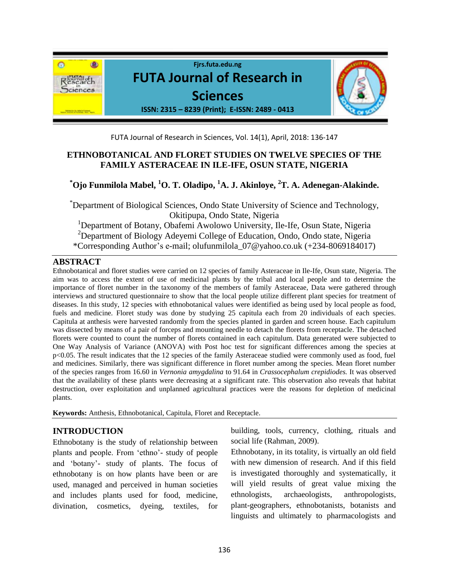

FUTA Journal of Research in Sciences, Vol. 14(1), April, 2018: 136-147

# **ETHNOBOTANICAL AND FLORET STUDIES ON TWELVE SPECIES OF THE FAMILY ASTERACEAE IN ILE-IFE, OSUN STATE, NIGERIA**

# **\*Ojo Funmilola Mabel, <sup>1</sup>O. T. Oladipo, <sup>1</sup>A. J. Akinloye, <sup>2</sup>T. A. Adenegan-Alakinde.**

\*Department of Biological Sciences, Ondo State University of Science and Technology, Okitipupa, Ondo State, Nigeria

<sup>1</sup>Department of Botany, Obafemi Awolowo University, Ile-Ife, Osun State, Nigeria <sup>2</sup>Department of Biology Adeyemi College of Education, Ondo, Ondo state, Nigeria \*Corresponding Author's e-mail; olufunmilola\_07@yahoo.co.uk (+234*-*8069184017)

# **ABSTRACT**

Ethnobotanical and floret studies were carried on 12 species of family Asteraceae in Ile-Ife, Osun state, Nigeria. The aim was to access the extent of use of medicinal plants by the tribal and local people and to determine the importance of floret number in the taxonomy of the members of family Asteraceae, Data were gathered through interviews and structured questionnaire to show that the local people utilize different plant species for treatment of diseases. In this study, 12 species with ethnobotanical values were identified as being used by local people as food, fuels and medicine. Floret study was done by studying 25 capitula each from 20 individuals of each species. Capitula at anthesis were harvested randomly from the species planted in garden and screen house. Each capitulum was dissected by means of a pair of forceps and mounting needle to detach the florets from receptacle. The detached florets were counted to count the number of florets contained in each capitulum. Data generated were subjected to One Way Analysis of Variance (ANOVA) with Post hoc test for significant differences among the species at p<0.05. The result indicates that the 12 species of the family Asteraceae studied were commonly used as food, fuel and medicines. Similarly, there was significant difference in floret number among the species. Mean floret number of the species ranges from 16.60 in *Vernonia amygdalina* to 91.64 in *Crassocephalum crepidiodes.* It was observed that the availability of these plants were decreasing at a significant rate. This observation also reveals that habitat destruction, over exploitation and unplanned agricultural practices were the reasons for depletion of medicinal plants.

**Keywords:** Anthesis, Ethnobotanical, Capitula, Floret and Receptacle.

# **INTRODUCTION**

Ethnobotany is the study of relationship between plants and people. From 'ethno'- study of people and 'botany'- study of plants. The focus of ethnobotany is on how plants have been or are used, managed and perceived in human societies and includes plants used for food, medicine, divination, cosmetics, dyeing, textiles, for

building, tools, currency, clothing, rituals and social life (Rahman, 2009).

Ethnobotany, in its totality, is virtually an old field with new dimension of research. And if this field is investigated thoroughly and systematically, it will yield results of great value mixing the ethnologists, archaeologists, anthropologists, plant-geographers, ethnobotanists, botanists and linguists and ultimately to pharmacologists and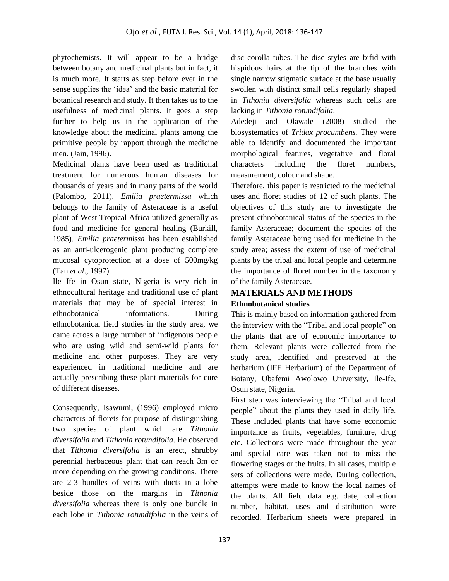phytochemists. It will appear to be a bridge between botany and medicinal plants but in fact, it is much more. It starts as step before ever in the sense supplies the 'idea' and the basic material for botanical research and study. It then takes us to the usefulness of medicinal plants. It goes a step further to help us in the application of the knowledge about the medicinal plants among the primitive people by rapport through the medicine men. (Jain, 1996).

Medicinal plants have been used as traditional treatment for numerous human diseases for thousands of years and in many parts of the world (Palombo, 2011). *Emilia praetermissa* which belongs to the family of Asteraceae is a useful plant of West Tropical Africa utilized generally as food and medicine for general healing (Burkill, 1985). *Emilia praetermissa* has been established as an anti-ulcerogenic plant producing complete mucosal cytoprotection at a dose of 500mg/kg (Tan *et al*., 1997).

Ile Ife in Osun state, Nigeria is very rich in ethnocultural heritage and traditional use of plant materials that may be of special interest in ethnobotanical informations. During ethnobotanical field studies in the study area, we came across a large number of indigenous people who are using wild and semi-wild plants for medicine and other purposes. They are very experienced in traditional medicine and are actually prescribing these plant materials for cure of different diseases.

Consequently, Isawumi, (1996) employed micro characters of florets for purpose of distinguishing two species of plant which are *Tithonia diversifolia* and *Tithonia rotundifolia*. He observed that *Tithonia diversifolia* is an erect, shrubby perennial herbaceous plant that can reach 3m or more depending on the growing conditions. There are 2-3 bundles of veins with ducts in a lobe beside those on the margins in *Tithonia diversifolia* whereas there is only one bundle in each lobe in *Tithonia rotundifolia* in the veins of disc corolla tubes. The disc styles are bifid with hispidous hairs at the tip of the branches with single narrow stigmatic surface at the base usually swollen with distinct small cells regularly shaped in *Tithonia diversifolia* whereas such cells are lacking in *Tithonia rotundifolia*.

Adedeji and Olawale (2008) studied the biosystematics of *Tridax procumbens.* They were able to identify and documented the important morphological features, vegetative and floral characters including the floret numbers, measurement, colour and shape.

Therefore, this paper is restricted to the medicinal uses and floret studies of 12 of such plants. The objectives of this study are to investigate the present ethnobotanical status of the species in the family Asteraceae; document the species of the family Asteraceae being used for medicine in the study area; assess the extent of use of medicinal plants by the tribal and local people and determine the importance of floret number in the taxonomy of the family Asteraceae.

# **MATERIALS AND METHODS Ethnobotanical studies**

This is mainly based on information gathered from the interview with the "Tribal and local people" on the plants that are of economic importance to them. Relevant plants were collected from the study area, identified and preserved at the herbarium (IFE Herbarium) of the Department of Botany, Obafemi Awolowo University, Ile-Ife, Osun state, Nigeria.

First step was interviewing the "Tribal and local people" about the plants they used in daily life. These included plants that have some economic importance as fruits, vegetables, furniture, drug etc. Collections were made throughout the year and special care was taken not to miss the flowering stages or the fruits. In all cases, multiple sets of collections were made. During collection, attempts were made to know the local names of the plants. All field data e.g. date, collection number, habitat, uses and distribution were recorded. Herbarium sheets were prepared in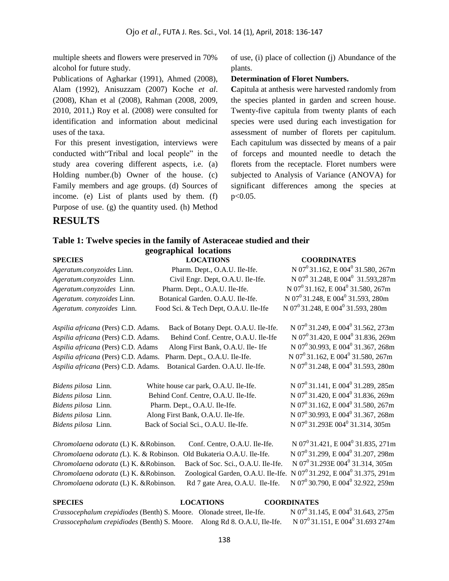multiple sheets and flowers were preserved in 70% alcohol for future study.

Publications of Agharkar (1991), Ahmed (2008), Alam (1992), Anisuzzam (2007) Koche *et al*. (2008), Khan et al (2008), Rahman (2008, 2009, 2010, 2011,) Roy et al. (2008) were consulted for identification and information about medicinal uses of the taxa.

For this present investigation, interviews were conducted with"Tribal and local people" in the study area covering different aspects, i.e. (a) Holding number.(b) Owner of the house. (c) Family members and age groups. (d) Sources of income. (e) List of plants used by them. (f) Purpose of use. (g) the quantity used. (h) Method of use, (i) place of collection (j) Abundance of the plants.

#### **Determination of Floret Numbers.**

**C**apitula at anthesis were harvested randomly from the species planted in garden and screen house. Twenty-five capitula from twenty plants of each species were used during each investigation for assessment of number of florets per capitulum. Each capitulum was dissected by means of a pair of forceps and mounted needle to detach the florets from the receptacle. Floret numbers were subjected to Analysis of Variance (ANOVA) for significant differences among the species at p<0.05.

# **RESULTS**

### **Table 1: Twelve species in the family of Asteraceae studied and their geographical locations**

# **SPECIES LOCATIONS COORDINATES**

*Ageratum.conyzoides Linn.* Pharm. Dept., O.A.U. Ile-Ife. *Ageratum.conyzoides Linn.* Civil Engr. Dept, O.A.U. Ile-Ife. *Ageratum.conyzoides* Linn. Pharm. Dept., O.A.U. Ile-Ife. *Ageratum. conyzoides Linn.* Botanical Garden. O.A.U. Ile-Ife. Ageratum. conyzoides Linn. Food Sci. & Tech Dept, O.A.U. Ile-Ife

*Aspilia africana* (Pers) C.D. Adams. Back of Botany Dept. O.A.U. Ile-Ife.

*Aspilia africana* (Pers) C.D. Adams. Behind Conf. Centre, O.A.U. Ile-Ife *Aspilia africana* (Pers) C.D. Adams Along First Bank, O.A.U. Ile- Ife *Aspilia africana* (Pers) C.D. Adams. Pharm. Dept., O.A.U. Ile-Ife. Aspilia africana (Pers) C.D. Adams. Botanical Garden. O.A.U. Ile-Ife.

| Bidens pilosa Linn. | White house car park, O.A.U. Ile-Ife. | N $07^0$ 31.141, E $004^0$ 31.289, 285n                   |
|---------------------|---------------------------------------|-----------------------------------------------------------|
| Bidens pilosa Linn. | Behind Conf. Centre, O.A.U. Ile-Ife.  | N 07 <sup>0</sup> 31.420, E 004 <sup>0</sup> 31.836, 269n |
| Bidens pilosa Linn. | Pharm. Dept., O.A.U. Ile-Ife.         | N 07 <sup>0</sup> 31.162, E 004 <sup>0</sup> 31.580, 267n |
| Bidens pilosa Linn. | Along First Bank, O.A.U. Ile-Ife.     | N $07^0$ 30.993, E 004 <sup>0</sup> 31.367, 268n          |
| Bidens pilosa Linn. | Back of Social Sci., O.A.U. Ile-Ife.  | N 07 <sup>0</sup> 31.293E 004 <sup>0</sup> 31.314, 305m   |
|                     |                                       |                                                           |

*Chromolaena odorata* (L) K. &Robinson. Conf. Centre, O.A.U. Ile-Ife. *Chromolaena odorata (L). K. & Robinson. Old Bukateria O.A.U. Ile-Ife. Chromolaena odorata* (L) K. &Robinson. Back of Soc. Sci., O.A.U. Ile-Ife. Chromolaena odorata (L) K. &Robinson. Zoological Garden, O.A.U. Ile-Ife. N 07<sup>0</sup>31.292, E 004<sup>0</sup>31.375, 291m *Chromolaena odorata* (L) K. &Robinson. Rd 7 gate Area, O.A.U. Ile-Ife.

 $N 07^0$  31.421, E 004<sup>0</sup> 31.835, 271m  $N$  07<sup>0</sup> 31.299, E 004<sup>0</sup> 31.207, 298m N 07<sup>0</sup>31.293E 004<sup>0</sup> 31.314, 305m N 07<sup>0</sup>30.790, E 004<sup>0</sup> 32.922, 259m

N 07<sup>0</sup> 31.162, E 004<sup>0</sup> 31.580, 267m

 $N 07^0$  31.248, E 004 $^0$  31.593,287m

N 07<sup>0</sup> 31.249, E 004<sup>0</sup> 31.562, 273m

 $N 07^0$  31.420, E 004<sup>0</sup> 31.836, 269m

 $N 07^0 30.993$ , E  $004^0 31.367$ , 268m

 $N$  07<sup>0</sup> 31.162, E 004<sup>0</sup> 31.580, 267m

 $^{0}$ 31.248, E 004<sup>0</sup> 31.593, 280m

285m

269m

267m

268m

 $N 07^0$  31.162, E 004<sup>0</sup> 31.580, 267m

N 07<sup>0</sup>31.248, E 004<sup>0</sup> 31.593, 280m

 $N 07^0$  31.248, E 004<sup>0</sup> 31.593, 280m

#### **SPECIES LOCATIONS COORDINATES**

*Crassocephalum crepidiodes* (Benth) S. Moore. Olonade street, Ile-Ife. *Crassocephalum crepidiodes* (Benth) S. Moore. Along Rd 8. O.A.U, Ile-Ife.

 $N 07^0$  31.145, E 004<sup>0</sup> 31.643, 275m  $N$  07<sup>0</sup> 31.151, E 004<sup>0</sup> 31.693 274m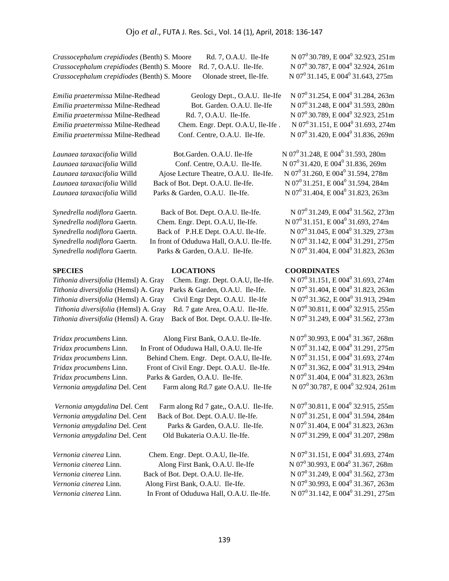*Crassocephalum crepidiodes* (Benth) S. Moore Rd. 7, O.A.U. Ile-Ife *Crassocephalum crepidiodes* (Benth) S. Moore Rd. 7, O.A.U. Ile-Ife. *Crassocephalum crepidiodes* (Benth) S. Moore Olonade street, Ile-Ife.

*Emilia praetermissa Milne-Redhead* Bot. Garden. O.A.U. Ile-Ife *Emilia praetermissa* Milne-Redhead Rd. 7, O.A.U. Ile-Ife. *Emilia praetermissa Milne-Redhead* Chem. Engr. Dept. O.A.U, Ile-Ife. *Emilia praetermissa Milne-Redhead* Conf. Centre, O.A.U. Ile-Ife.

*Tithonia diversifolia* (Hemsl) A. Gray Parks & Garden, O.A.U. Ile-Ife. *Tithonia diversifolia* (Hemsl) A. Gray Civil Engr Dept. O.A.U. Ile-Ife *Tithonia diversifolia* (Hemsl) A. Gray Rd. 7 gate Area, O.A.U. Ile-Ife.

*Emilia praetermissa* Milne-Redhead Geology Dept., O.A.U. Ile-Ife

*Launaea taraxacifolia* Willd Bot.Garden. O.A.U. Ile-Ife *Launaea taraxacifolia* Willd Conf. Centre, O.A.U. Ile-Ife. *Launaea taraxacifolia* Willd Ajose Lecture Theatre, O.A.U. Ile-Ife. *Launaea taraxacifolia* Willd Back of Bot. Dept. O.A.U. Ile-Ife. *Launaea taraxacifolia* Willd Parks & Garden, O.A.U. Ile-Ife.

*Synedrella nodiflora* Gaertn. Back of Bot. Dept. O.A.U. Ile-Ife. *Synedrella nodiflora* Gaertn. *Chem. Engr. Dept. O.A.U, Ile-Ife. Synedrella nodiflora* Gaertn. Back of P.H.E Dept. O.A.U. Ile-Ife. *Synedrella nodiflora* Gaertn. In front of Oduduwa Hall, O.A.U. Ile-Ife. *Synedrella nodiflora* Gaertn. Parks & Garden, O.A.U. Ile-Ife.

*Tithonia diversifolia* (Hemsl) A. Gray Chem. Engr. Dept. O.A.U, Ile-Ife. *Tithonia diversifolia* (Hemsl) A. Gray Back of Bot. Dept. O.A.U. Ile-Ife.

*Tridax procumbens* Linn. Along First Bank, O.A.U. Ile-Ife. *Tridax procumbens* Linn. In Front of Oduduwa Hall, O.A.U. Ile-Ife *Tridax procumbens* Linn. Behind Chem. Engr. Dept. O.A.U, Ile-Ife. *Tridax procumbens* Linn. Front of Civil Engr. Dept. O.A.U. Ile-Ife. *Tridax procumbens* Linn. Parks & Garden, O.A.U. Ile-Ife. *Vernonia amygdalina* Del. Cent Farm along Rd.7 gate O.A.U. Ile-Ife

*Vernonia amygdalina* Del. Cent Farm along Rd 7 gate,, O.A.U. Ile-Ife. *Vernonia amygdalina* Del. Cent Back of Bot. Dept. O.A.U. Ile-Ife. *Vernonia amygdalina* Del. Cent Parks & Garden, O.A.U. Ile-Ife. *Vernonia amygdalina* Del. Cent Old Bukateria O.A.U. Ile-Ife.

*Vernonia cinerea* Linn. Chem. Engr. Dept. O.A.U, Ile-Ife. *Vernonia cinerea* Linn. Along First Bank, O.A.U. Ile-Ife *Vernonia cinerea* Linn. Back of Bot. Dept. O.A.U. Ile-Ife. *Vernonia cinerea* Linn. Along First Bank, O.A.U. Ile-Ife. *Vernonia cinerea* Linn. In Front of Oduduwa Hall, O.A.U. Ile-Ife.

N 07<sup>0</sup>30.789, E 004<sup>0</sup> 32.923, 251m  $N 07^0 30.787$ , E 004<sup>0</sup> 32.924, 261m N 07<sup>0</sup> 31.145, E 004<sup>0</sup> 31.643, 275m

 $N$  07<sup>0</sup> 31.254, E 004<sup>0</sup> 31.284, 263m N 07<sup>0</sup>31.248, E 004<sup>0</sup> 31.593, 280m  $N$  07<sup>0</sup> 30.789, E 004<sup>0</sup> 32.923, 251m  $N 07^0$  31.151, E 004<sup>0</sup> 31.693, 274m  $N$  07<sup>0</sup> 31.420, E 004<sup>0</sup> 31.836, 269m

N 07<sup>0</sup>31.248, E 004<sup>0</sup> 31.593, 280m  $N 07^0$  31.420, E 004<sup>0</sup> 31.836, 269m N 07<sup>0</sup>31.260, E 004<sup>0</sup> 31.594, 278m N 07<sup>0</sup> 31.251, E 004<sup>0</sup> 31.594, 284m  $N$  07<sup>0</sup> 31.404, E 004<sup>0</sup> 31.823, 263m

 $N 07^0$  31.249, E 004<sup>0</sup> 31.562, 273m  $N 07^0$  31.151, E 004<sup>0</sup> 31.693, 274m N 07<sup>0</sup>31.045, E 004<sup>0</sup> 31.329, 273m  $N$  07<sup>0</sup> 31.142, E 004<sup>0</sup> 31.291, 275m N 07<sup>0</sup>31.404, E 004<sup>0</sup> 31.823, 263m

### **SPECIES****LOCATIONS****COORDINATES**

 $N 07^0$  31.151, E 004<sup>0</sup> 31.693, 274m  $N$  07<sup>0</sup> 31.404, E 004<sup>0</sup> 31.823, 263m N 07<sup>0</sup>31.362, E 004<sup>0</sup> 31.913, 294m  $N$  07<sup>0</sup> 30.811, E 004<sup>0</sup> 32.915, 255m  $N$  07<sup>0</sup> 31.249, E 004<sup>0</sup> 31.562, 273m

 $^{0}$ 30.993, E 004 $^{0}$ 31.367, 268m N 07<sup>0</sup>31.142, E 004<sup>0</sup> 31.291, 275m  $N 07^0$  31.151, E 004<sup>0</sup> 31.693, 274m  $N$  07<sup>0</sup> 31.362, E 004<sup>0</sup> 31.913, 294m N 07<sup>0</sup>31.404, E 004<sup>0</sup> 31.823, 263m  $N 07^0$  30.787, E 004<sup>0</sup> 32.924, 261m

N 07<sup>0</sup>30.811, E 004<sup>0</sup> 32.915, 255m  $N$  07<sup>0</sup> 31.251, E 004<sup>0</sup> 31.594, 284m  $N 07^0$  31.404, E 004<sup>0</sup> 31.823, 263m N 07<sup>0</sup>31.299, E 004<sup>0</sup> 31.207, 298m

 $N 07^0$  31.151, E 004<sup>0</sup> 31.693, 274m  $N 07^0 30.993$ , E  $004^0 31.367$ , 268m N 07<sup>0</sup>31.249, E 004<sup>0</sup> 31.562, 273m N 07<sup>0</sup>30.993, E 004<sup>0</sup> 31.367, 263m N 07<sup>0</sup>31.142, E 004<sup>0</sup> 31.291, 275m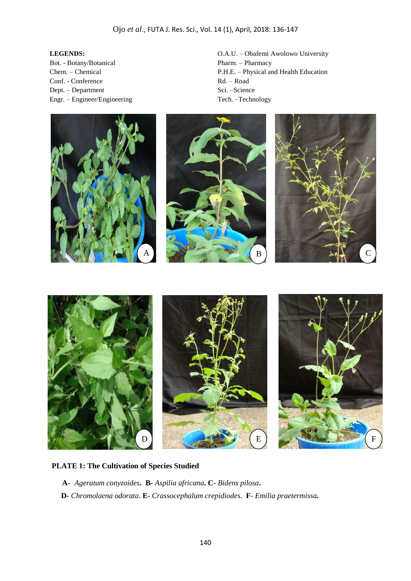#### **LEGENDS:**

Bot. - Botany/Botanical Chem. – Chemical Conf. - Conference Dept. – Department Engr. – Engineer/Engineering O.A.U. – Obafemi Awolowo University Pharm. – Pharmacy P.H.E. – Physical and Health Education Rd. – Road Sci. –Science Tech. –Technology









# **PLATE 1: The Cultivation of Species Studied**

**A-** *Ageratum conyzoides***. B-** *Aspilia africana***. C-** *Bidens pilosa***.** 

 **D-** *Chromolaena odorata*. **E**- *Crassocephalum crepidiodes.* **F**- *Emilia praetermissa.*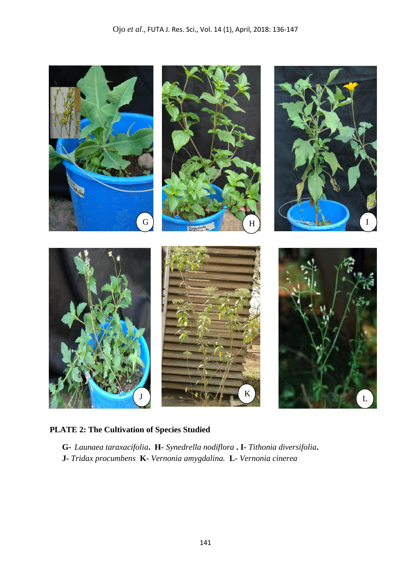

# **PLATE 2: The Cultivation of Species Studied**

**G-** *Launaea taraxacifolia***. H-** *Synedrella nodiflora* **. I-** *Tithonia diversifolia***. J-** *Tridax procumbens* **K**- *Vernonia amygdalina.* **L**- *Vernonia cinerea*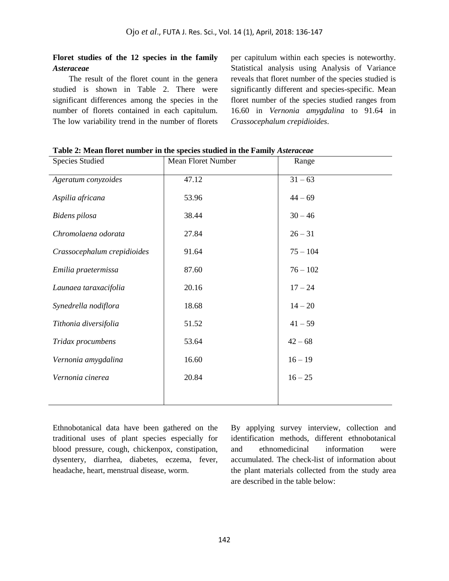## **Floret studies of the 12 species in the family**  *Asteraceae*

The result of the floret count in the genera studied is shown in Table 2. There were significant differences among the species in the number of florets contained in each capitulum. The low variability trend in the number of florets

per capitulum within each species is noteworthy. Statistical analysis using Analysis of Variance reveals that floret number of the species studied is significantly different and species-specific. Mean floret number of the species studied ranges from 16.60 in *Vernonia amygdalina* to 91.64 in *Crassocephalum crepidioides*.

| <b>Species Studied</b>      | <b>Mean Floret Number</b> | Range      |
|-----------------------------|---------------------------|------------|
| Ageratum conyzoides         | 47.12                     | $31 - 63$  |
| Aspilia africana            | 53.96                     | $44 - 69$  |
| Bidens pilosa               | 38.44                     | $30 - 46$  |
| Chromolaena odorata         | 27.84                     | $26 - 31$  |
| Crassocephalum crepidioides | 91.64                     | $75 - 104$ |
| Emilia praetermissa         | 87.60                     | $76 - 102$ |
| Launaea taraxacifolia       | 20.16                     | $17 - 24$  |
| Synedrella nodiflora        | 18.68                     | $14 - 20$  |
| Tithonia diversifolia       | 51.52                     | $41 - 59$  |
| Tridax procumbens           | 53.64                     | $42 - 68$  |
| Vernonia amygdalina         | 16.60                     | $16 - 19$  |
| Vernonia cinerea            | 20.84                     | $16 - 25$  |
|                             |                           |            |

**Table 2: Mean floret number in the species studied in the Family** *Asteraceae*

Ethnobotanical data have been gathered on the traditional uses of plant species especially for blood pressure, cough, chickenpox, constipation, dysentery, diarrhea, diabetes, eczema, fever, headache, heart, menstrual disease, worm.

By applying survey interview, collection and identification methods, different ethnobotanical and ethnomedicinal information were accumulated. The check-list of information about the plant materials collected from the study area are described in the table below: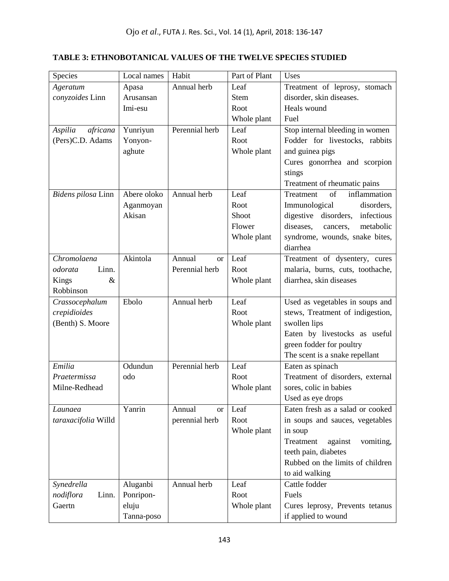# **TABLE 3: ETHNOBOTANICAL VALUES OF THE TWELVE SPECIES STUDIED**

| Species             | Local names | Habit               | Part of Plant | Uses                                                     |
|---------------------|-------------|---------------------|---------------|----------------------------------------------------------|
| Ageratum            | Apasa       | Annual herb         | Leaf          | Treatment of leprosy, stomach                            |
| conyzoides Linn     | Arusansan   |                     | <b>Stem</b>   | disorder, skin diseases.                                 |
|                     | Imi-esu     |                     | Root          | Heals wound                                              |
|                     |             |                     | Whole plant   | Fuel                                                     |
| Aspilia<br>africana | Yunriyun    | Perennial herb      | Leaf          | Stop internal bleeding in women                          |
| (Pers)C.D. Adams    | Yonyon-     |                     | Root          | Fodder for livestocks, rabbits                           |
|                     | aghute      |                     | Whole plant   | and guinea pigs                                          |
|                     |             |                     |               | Cures gonorrhea and scorpion                             |
|                     |             |                     |               | stings                                                   |
|                     |             |                     |               | Treatment of rheumatic pains                             |
| Bidens pilosa Linn  | Abere oloko | Annual herb         | Leaf          | inflammation<br>Treatment<br>of                          |
|                     | Aganmoyan   |                     | Root          | Immunological<br>disorders,                              |
|                     | Akisan      |                     | Shoot         | digestive disorders,<br>infectious                       |
|                     |             |                     | Flower        | diseases,<br>metabolic<br>cancers,                       |
|                     |             |                     | Whole plant   | syndrome, wounds, snake bites,                           |
|                     |             |                     |               | diarrhea                                                 |
| Chromolaena         | Akintola    | Annual<br><b>or</b> | Leaf          | Treatment of dysentery, cures                            |
| Linn.<br>odorata    |             | Perennial herb      | Root          | malaria, burns, cuts, toothache,                         |
| Kings<br>&          |             |                     | Whole plant   | diarrhea, skin diseases                                  |
| Robbinson           |             |                     |               |                                                          |
| Crassocephalum      | Ebolo       | Annual herb         | Leaf          | Used as vegetables in soups and                          |
| crepidioides        |             |                     | Root          | stews, Treatment of indigestion,                         |
| (Benth) S. Moore    |             |                     | Whole plant   | swollen lips                                             |
|                     |             |                     |               | Eaten by livestocks as useful                            |
|                     |             |                     |               | green fodder for poultry                                 |
|                     |             |                     |               | The scent is a snake repellant                           |
| Emilia              | Odundun     | Perennial herb      | Leaf          | Eaten as spinach                                         |
| Praetermissa        | odo         |                     | Root          | Treatment of disorders, external                         |
| Milne-Redhead       |             |                     | Whole plant   | sores, colic in babies                                   |
|                     |             |                     |               | Used as eye drops                                        |
| Launaea             | Yanrin      | Annual<br><b>or</b> | Leaf          | Eaten fresh as a salad or cooked                         |
| taraxacifolia Willd |             | perennial herb      | Root          | in soups and sauces, vegetables                          |
|                     |             |                     | Whole plant   | in soup                                                  |
|                     |             |                     |               | Treatment<br>against<br>vomiting,                        |
|                     |             |                     |               | teeth pain, diabetes<br>Rubbed on the limits of children |
|                     |             |                     |               |                                                          |
|                     |             |                     |               | to aid walking                                           |
| Synedrella          | Aluganbi    | Annual herb         | Leaf          | Cattle fodder                                            |
| nodiflora<br>Linn.  | Ponripon-   |                     | Root          | Fuels                                                    |
| Gaertn              | eluju       |                     | Whole plant   | Cures leprosy, Prevents tetanus                          |
|                     | Tanna-poso  |                     |               | if applied to wound                                      |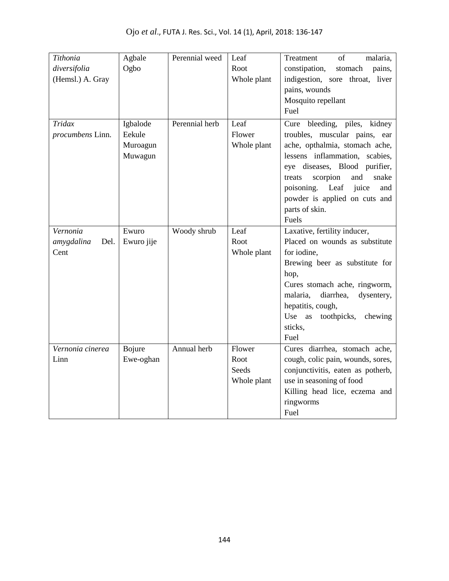| Tithonia           | Agbale     | Perennial weed | Leaf        | of<br>malaria,<br>Treatment         |
|--------------------|------------|----------------|-------------|-------------------------------------|
| diversifolia       | Ogbo       |                | Root        | constipation,<br>stomach<br>pains,  |
| (Hemsl.) A. Gray   |            |                | Whole plant | indigestion, sore throat, liver     |
|                    |            |                |             | pains, wounds                       |
|                    |            |                |             | Mosquito repellant                  |
|                    |            |                |             | Fuel                                |
| Tridax             | Igbalode   | Perennial herb | Leaf        | Cure bleeding, piles, kidney        |
| procumbens Linn.   | Eekule     |                | Flower      | troubles, muscular pains, ear       |
|                    | Muroagun   |                | Whole plant | ache, opthalmia, stomach ache,      |
|                    | Muwagun    |                |             | lessens inflammation, scabies,      |
|                    |            |                |             | eye diseases, Blood purifier,       |
|                    |            |                |             | treats<br>scorpion<br>and<br>snake  |
|                    |            |                |             | poisoning. Leaf juice<br>and        |
|                    |            |                |             | powder is applied on cuts and       |
|                    |            |                |             | parts of skin.                      |
|                    |            |                |             | Fuels                               |
| Vernonia           | Ewuro      | Woody shrub    | Leaf        | Laxative, fertility inducer,        |
| amygdalina<br>Del. | Ewuro jije |                | Root        | Placed on wounds as substitute      |
| Cent               |            |                | Whole plant | for iodine,                         |
|                    |            |                |             | Brewing beer as substitute for      |
|                    |            |                |             | hop,                                |
|                    |            |                |             | Cures stomach ache, ringworm,       |
|                    |            |                |             | diarrhea,<br>malaria,<br>dysentery, |
|                    |            |                |             | hepatitis, cough,                   |
|                    |            |                |             | Use<br>as<br>toothpicks,<br>chewing |
|                    |            |                |             | sticks,                             |
|                    |            |                |             | Fuel                                |
| Vernonia cinerea   | Bojure     | Annual herb    | Flower      | Cures diarrhea, stomach ache,       |
| Linn               | Ewe-oghan  |                | Root        | cough, colic pain, wounds, sores,   |
|                    |            |                | Seeds       | conjunctivitis, eaten as potherb,   |
|                    |            |                | Whole plant | use in seasoning of food            |
|                    |            |                |             | Killing head lice, eczema and       |
|                    |            |                |             | ringworms                           |
|                    |            |                |             | Fuel                                |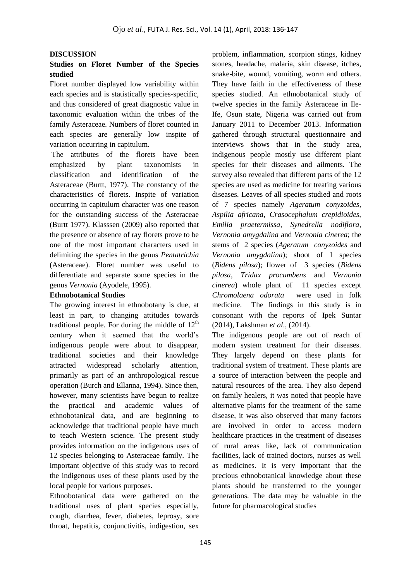### **DISCUSSION**

# **Studies on Floret Number of the Species studied**

Floret number displayed low variability within each species and is statistically species-specific, and thus considered of great diagnostic value in taxonomic evaluation within the tribes of the family Asteraceae. Numbers of floret counted in each species are generally low inspite of variation occurring in capitulum.

The attributes of the florets have been emphasized by plant taxonomists in classification and identification of the Asteraceae (Burtt, 1977). The constancy of the characteristics of florets. Inspite of variation occurring in capitulum character was one reason for the outstanding success of the Asteraceae (Burtt 1977). Klasssen (2009) also reported that the presence or absence of ray florets prove to be one of the most important characters used in delimiting the species in the genus *Pentatrichia* (Asteraceae). Floret number was useful to differentiate and separate some species in the genus *Vernonia* (Ayodele, 1995).

### **Ethnobotanical Studies**

The growing interest in ethnobotany is due, at least in part, to changing attitudes towards traditional people. For during the middle of  $12<sup>th</sup>$ century when it seemed that the world's indigenous people were about to disappear, traditional societies and their knowledge attracted widespread scholarly attention, primarily as part of an anthropological rescue operation (Burch and Ellanna, 1994). Since then, however, many scientists have begun to realize the practical and academic values of ethnobotanical data, and are beginning to acknowledge that traditional people have much to teach Western science. The present study provides information on the indigenous uses of 12 species belonging to Asteraceae family. The important objective of this study was to record the indigenous uses of these plants used by the local people for various purposes.

Ethnobotanical data were gathered on the traditional uses of plant species especially, cough, diarrhea, fever, diabetes, leprosy, sore throat, hepatitis, conjunctivitis, indigestion, sex

problem, inflammation, scorpion stings, kidney stones, headache, malaria, skin disease, itches, snake-bite, wound, vomiting, worm and others. They have faith in the effectiveness of these species studied. An ethnobotanical study of twelve species in the family Asteraceae in Ile-Ife, Osun state, Nigeria was carried out from January 2011 to December 2013. Information gathered through structural questionnaire and interviews shows that in the study area, indigenous people mostly use different plant species for their diseases and ailments. The survey also revealed that different parts of the 12 species are used as medicine for treating various diseases. Leaves of all species studied and roots of 7 species namely *Ageratum conyzoides, Aspilia africana, Crasocephalum crepidioides, Emilia praetermissa, Synedrella nodiflora, Vernonia amygdalina* and *Vernonia cinerea*; the stems of 2 species (*Ageratum conyzoides* and *Vernonia amygdalina*); shoot of 1 species (*Bidens pilosa*); flower of 3 species (*Bidens pilosa*, *Tridax procumbens* and *Vernonia cinerea*) whole plant of 11 species except *Chromolaena odorata* were used in folk medicine. The findings in this study is in consonant with the reports of Ipek Suntar (2014), Lakshman *et al*., (2014).

The indigenous people are out of reach of modern system treatment for their diseases. They largely depend on these plants for traditional system of treatment. These plants are a source of interaction between the people and natural resources of the area. They also depend on family healers, it was noted that people have alternative plants for the treatment of the same disease, it was also observed that many factors are involved in order to access modern healthcare practices in the treatment of diseases of rural areas like, lack of communication facilities, lack of trained doctors, nurses as well as medicines. It is very important that the precious ethnobotanical knowledge about these plants should be transferred to the younger generations. The data may be valuable in the future for pharmacological studies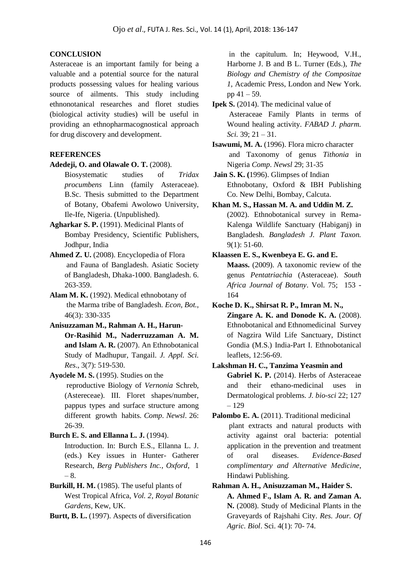## **CONCLUSION**

Asteraceae is an important family for being a valuable and a potential source for the natural products possessing values for healing various source of ailments. This study including ethnonotanical researches and floret studies (biological activity studies) will be useful in providing an ethnopharmacognostical approach for drug discovery and development.

## **REFERENCES**

- **Adedeji, O. and Olawale O. T.** (2008).
	- Biosystematic studies of *Tridax procumbens* Linn (family Asteraceae). B.Sc. Thesis submitted to the Department of Botany, Obafemi Awolowo University, Ile-Ife, Nigeria. (Unpublished).
- **Agharkar S. P.** (1991). Medicinal Plants of Bombay Presidency, Scientific Publishers, Jodhpur, India
- **Ahmed Z. U.** (2008). Encyclopedia of Flora and Fauna of Bangladesh. Asiatic Society of Bangladesh, Dhaka-1000. Bangladesh. 6. 263-359.
- **Alam M. K.** (1992). Medical ethnobotany of the Marma tribe of Bangladesh. *Econ, Bot.*, 46(3): 330-335
- **Anisuzzaman M., Rahman A. H., Harun-Or-Rasihid M., Naderruzzaman A. M. and Islam A. R.** (2007). An Ethnobotanical Study of Madhupur, Tangail. *J. Appl. Sci. Res*., 3(7): 519-530.
- **Ayo**d**ele M. S.** (1995). Studies on the reproductive Biology of *Vernonia* Schreb, (Astereceae). III. Floret shapes/number, pappus types and surface structure among different growth habits. *Comp*. *Newsl*. 26: 26-39.
- **Burch E. S. and Ellanna L. J.** (1994). Introduction. In: Burch E.S., Ellanna L. J. (eds.) Key issues in Hunter- Gatherer Research, *Berg Publishers Inc., Oxford*, 1 – 8.
- **Burkill, H. M.** (1985). The useful plants of West Tropical Africa, *Vol. 2, Royal Botanic Gardens,* Kew, UK.
- **Burtt, B. L.** (1997). Aspects of diversification

in the capitulum. In; Heywood, V.H., Harborne J. B and B L. Turner (Eds.), *The Biology and Chemistry of the Compositae 1,* Academic Press, London and New York. pp  $41 - 59$ .

**Ipek S.** (2014). The medicinal value of Asteraceae Family Plants in terms of Wound healing activity. *FABAD J. pharm. Sci.* 39; 21 – 31.

**Isawumi, M. A.** (1996). Flora micro character and Taxonomy of genus *Tithonia* in Nigeria *Comp*. *Newsl* 29; 31-35

**Jain S. K. (**1996). Glimpses of Indian Ethnobotany, Oxford & IBH Publishing Co. New Delhi, Bombay, Calcuta.

**Khan M. S., Hassan M. A. and Uddin M. Z.** (2002). Ethnobotanical survey in Rema-Kalenga Wildlife Sanctuary (Habiganj) in Bangladesh*. Bangladesh J. Plant Taxon.* 9(1): 51-60.

- **Klaassen E. S., Kwenbeya E. G. and E. Maass.** (2009). A taxonomic review of the genus *Pentatriachia* (Asteraceae). *South Africa Journal of Botany*. Vol. 75; 153 - 164
- **Koche D. K., Shirsat R. P., Imran M. N., Zingare A. K. and Donode K. A.** (2008). Ethnobotanical and Ethnomedicinal Survey of Nagzira Wild Life Sanctuary, Distinct Gondia (M.S.) India-Part I. Ethnobotanical leaflets, 12:56-69.

**Lakshman H. C., Tanzima Yeasmin and Gabriel K. P.** (2014). Herbs of Asteraceae and their ethano-medicinal uses in Dermatological problems. *J. bio-sci* 22; 127 – 129

- Palombo E. A. (2011). Traditional medicinal plant extracts and natural products with activity against oral bacteria: potential application in the prevention and treatment of oral diseases. *Evidence-Based complimentary and Alternative Medicine*, Hindawi Publishing.
- **Rahman A. H., Anisuzzaman M., Haider S. A. Ahmed F., Islam A. R. and Zaman A. N.** (2008). Study of Medicinal Plants in the Graveyards of Rajshahi City. *Res. Jour. Of Agric. Biol*. Sci. 4(1): 70- 74.